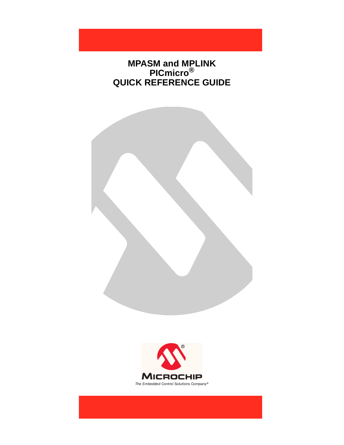## **MPASM and MPLINK PICmicro® QUICK REFERENCE GUIDE**

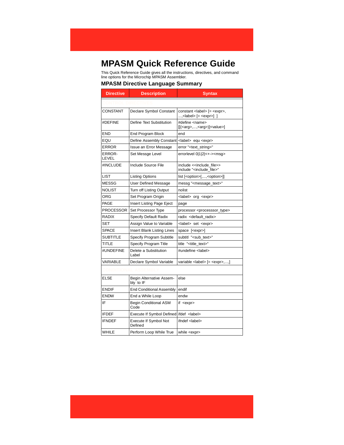# **MPASM Quick Reference Guide**

This Quick Reference Guide gives all the instructions, directives, and command line options for the Microchip MPASM Assembler.

#### **MPASM Directive Language Summary**

| <b>Directive</b> | <b>Description</b>                              | <b>Syntax</b>                                                                         |
|------------------|-------------------------------------------------|---------------------------------------------------------------------------------------|
|                  |                                                 |                                                                                       |
| <b>CONSTANT</b>  | Declare Symbol Constant                         | constant <label> [= <expr>,</expr></label>                                            |
| #DEFINE          | Define Text Substitution                        | #define <name><br/>[(carg&gt;,,<arg>)]<value>]</value></arg></name>                   |
| <b>END</b>       | End Program Block                               | end                                                                                   |
| EQU              | Define Assembly Constant                        | <label> equ <expr></expr></label>                                                     |
| <b>ERROR</b>     | Issue an Error Message                          | error " <text_string>"</text_string>                                                  |
| ERROR-<br>LEVEL  | Set Messge Level                                | errorlevel 0 1 2 <+-> <msg></msg>                                                     |
| #INCLUDE         | Include Source File                             | include < <include file="">&gt;<br/>include "<include_file>"</include_file></include> |
| <b>LIST</b>      | Listing Options                                 | list [ <option>[,,<option>]]</option></option>                                        |
| <b>MESSG</b>     | User Defined Message                            | messg " <message_text>"</message_text>                                                |
| <b>NOLIST</b>    | Turn off Listing Output                         | nolist                                                                                |
| ORG              | Set Program Origin                              | <label> org <expr></expr></label>                                                     |
| PAGE             | Insert Listing Page Eject                       | page                                                                                  |
| <b>PROCESSOR</b> | Set Processor Type                              | processor <processsor_type></processsor_type>                                         |
| <b>RADIX</b>     | <b>Specify Default Radix</b>                    | radix <default_radix></default_radix>                                                 |
| <b>SET</b>       | Assign Value to Variable                        | <label> set <expr></expr></label>                                                     |
| <b>SPACE</b>     | Insert Blank Listing Lines                      | space [ <expr>]</expr>                                                                |
| <b>SUBTITLE</b>  | Specify Program Subtitle                        | subtitl " <sub_text>"</sub_text>                                                      |
| <b>TITLE</b>     | Specify Program Title                           | title " <title_text>"</title_text>                                                    |
| #UNDEFINE        | Delete a Substitution<br>Label                  | #undefine <label></label>                                                             |
| VARIABLE         | Declare Symbol Variable                         | variable <label> [= <expr>,,]</expr></label>                                          |
|                  |                                                 |                                                                                       |
| ELSE             | Begin Alternative Assem-<br>bly to IF           | else                                                                                  |
| <b>ENDIF</b>     | <b>End Conditional Assembly</b>                 | endif                                                                                 |
| <b>ENDW</b>      | End a While Loop                                | endw                                                                                  |
| IF               | <b>Begin Conditional ASM</b><br>Code            | if <expr></expr>                                                                      |
| <b>IFDEF</b>     | Execute If Symbol Defined ifdef <label></label> |                                                                                       |
| <b>IFNDEF</b>    | Execute If Symbol Not<br>Defined                | ifndef <label></label>                                                                |
| <b>WHILE</b>     | Perform Loop While True                         | while <expr></expr>                                                                   |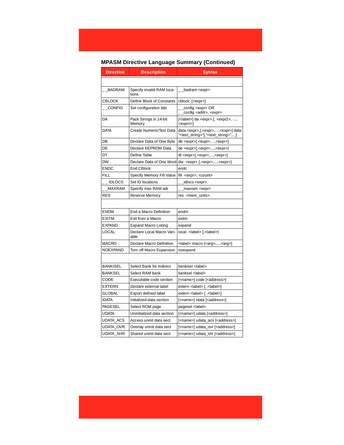## **MPASM Directive Language Summary (Continued)**

| <b>Directive</b> | <b>Description</b>                 | <b>Syntax</b>                                                                                                              |  |
|------------------|------------------------------------|----------------------------------------------------------------------------------------------------------------------------|--|
|                  |                                    |                                                                                                                            |  |
| BADRAM           | Specify invalid RAM loca-<br>tions | _badram <expr></expr>                                                                                                      |  |
| <b>CBLOCK</b>    | Define Block of Constants          | cblock [ <expr>]</expr>                                                                                                    |  |
| __CONFIG         | Set configuration bits             | config <expr> OR<br/>_config <addr>, <expr></expr></addr></expr>                                                           |  |
| DA               | Pack Strings in 14-bit<br>Memory   | $\left[$ <label><math>\right]</math> da <expr><math>\left[</math>, <expr2>, ,<br/><exprn>]</exprn></expr2></expr></label>  |  |
| <b>DATA</b>      | Create Numeric/Text Data           | data <expr>,[,<expr>,,<expr>] data<br/>"<text_string>"[,"<text_string>",]</text_string></text_string></expr></expr></expr> |  |
| DB               | Declare Data of One Byte           | db <expr>[,<expr>,,<expr>]</expr></expr></expr>                                                                            |  |
| DE               | Declare EEPROM Data                | de <expr>[,<expr>,,<expr>]</expr></expr></expr>                                                                            |  |
| DT               | Define Table                       | dt <expr>[,<expr>,,<expr>]</expr></expr></expr>                                                                            |  |
| <b>DW</b>        | Declare Data of One Word           | $dw$ <expr> [,<expr>,,<expr>]</expr></expr></expr>                                                                         |  |
| <b>ENDC</b>      | <b>End CBlock</b>                  | endc                                                                                                                       |  |
| FILL             | Specify Memory Fill Value          | fill <expr>, <count></count></expr>                                                                                        |  |
| <b>IDLOCS</b>    | Set ID locations                   | _ _idlocs <expr></expr>                                                                                                    |  |
| MAXRAM           | Specify max RAM adr                | _maxram <expr></expr>                                                                                                      |  |
| <b>RES</b>       | Reserve Memory                     | res <mem_units></mem_units>                                                                                                |  |
|                  |                                    |                                                                                                                            |  |
| <b>ENDM</b>      | End a Macro Definition             | endm                                                                                                                       |  |
| <b>EXITM</b>     | Exit from a Macro                  | exitm                                                                                                                      |  |
| <b>EXPAND</b>    | <b>Expand Macro Listing</b>        | expand                                                                                                                     |  |
| <b>LOCAL</b>     | Declare Local Macro Vari-<br>able  | local <label> [,<label>]</label></label>                                                                                   |  |
| <b>MACRO</b>     | Declare Macro Definition           | <label> macro [<arg>,,<arg>]</arg></arg></label>                                                                           |  |
| <b>NOEXPAND</b>  | Turn off Macro Expansion           | noexpand                                                                                                                   |  |
|                  |                                    |                                                                                                                            |  |
| <b>BANKISEL</b>  | Select Bank for indirect           | bankisel <label></label>                                                                                                   |  |
| <b>BANKSEL</b>   | Select RAM bank                    | banksel <label></label>                                                                                                    |  |
| CODE             | Executable code section            | [ <name>] code [<address>]</address></name>                                                                                |  |
| EXTERN           | Declare external label             | extern <label> [, <label>]</label></label>                                                                                 |  |
| GLOBAL           | Export defined label               | extern <label> [ .<label>]</label></label>                                                                                 |  |
| <b>IDATA</b>     | Initialized data section           | [ <name>] idata [<address>]</address></name>                                                                               |  |
| <b>PAGESEL</b>   | Select ROM page                    | pagesel <label></label>                                                                                                    |  |
| <b>UDATA</b>     | Uninitialized data section         | [ <name>] udata [<address>]</address></name>                                                                               |  |
| UDATA_ACS        | Access uninit data sect            | [ <name>] udata_acs [<address>]</address></name>                                                                           |  |
| <b>UDATA OVR</b> | Overlay uninit data sect           | [ <name>] udata_ovr [<address>]</address></name>                                                                           |  |
| <b>UDATA SHR</b> | Shared uninit data sect            | [ <name>] udata_shr [<address>]</address></name>                                                                           |  |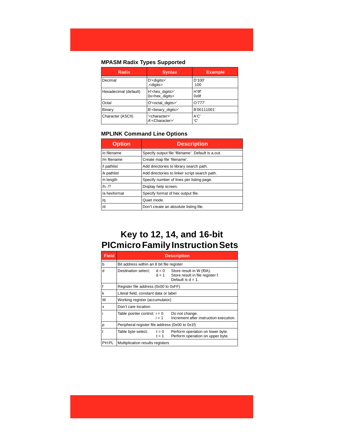#### **MPASM Radix Types Supported**

| Radix                 | <b>Syntax</b>                                             | <b>Example</b> |
|-----------------------|-----------------------------------------------------------|----------------|
| Decimal               | D' <digits>'<br/>.<digits></digits></digits>              | D'100'<br>.100 |
| Hexadecimal (default) | H' <hex_digits>'<br/>0x<hex digits=""></hex></hex_digits> | H'9f'<br>0x9f  |
| Octal                 | O' <octal_digits>'</octal_digits>                         | O'777'         |
| Binary                | B' <binary digits="">'</binary>                           | B'00111001'    |
| Character (ASCII)     | ' <character>'<br/>A'<character>'</character></character> | A'C'<br>'C'    |

## **MPLINK Command Line Options**

| <b>Option</b> | <b>Description</b>                                |  |
|---------------|---------------------------------------------------|--|
| /o filename   | Specify output file 'filename'. Default is a out. |  |
| /m filename   | Create map file 'filename'.                       |  |
| /l pathlist   | Add directories to library search path.           |  |
| /k pathlist   | Add directories to linker script search path.     |  |
| /n length     | Specify number of lines per listing page.         |  |
| /h, /?        | Display help screen.                              |  |
| /a hexformat  | Specify format of hex output file.                |  |
| /q            | Quiet mode.                                       |  |
| /d            | Don't create an absolute listing file.            |  |

# **Key to 12, 14, and 16-bit PICmicro Family Instruction Sets**

| <b>Field</b> | <b>Description</b>                                                                                    |                                                                                      |  |  |  |  |  |
|--------------|-------------------------------------------------------------------------------------------------------|--------------------------------------------------------------------------------------|--|--|--|--|--|
| b            | Bit address within an 8 bit file register                                                             |                                                                                      |  |  |  |  |  |
| d            | Destination select:<br>$d = 0$<br>$d = 1$                                                             | Store result in W (f0A).<br>Store result in file register f.<br>Default is $d = 1$ . |  |  |  |  |  |
| f            | Register file address (0x00 to 0xFF)                                                                  |                                                                                      |  |  |  |  |  |
| k            | Literal field, constant data or label                                                                 |                                                                                      |  |  |  |  |  |
| W            | Working register (accumulator)                                                                        |                                                                                      |  |  |  |  |  |
| X            | Don't care location                                                                                   |                                                                                      |  |  |  |  |  |
| İ            | Table pointer control; $i = 0$<br>Do not change.<br>Increment after instruction execution.<br>$i = 1$ |                                                                                      |  |  |  |  |  |
| p            | Peripheral register file address (0x00 to 0x1f)                                                       |                                                                                      |  |  |  |  |  |
| $\ddagger$   | Table byte select;<br>$t = 0$<br>$t = 1$                                                              | Perform operation on lower byte.<br>Perform operation on upper byte.                 |  |  |  |  |  |
| PH:PL        | Multiplication results registers                                                                      |                                                                                      |  |  |  |  |  |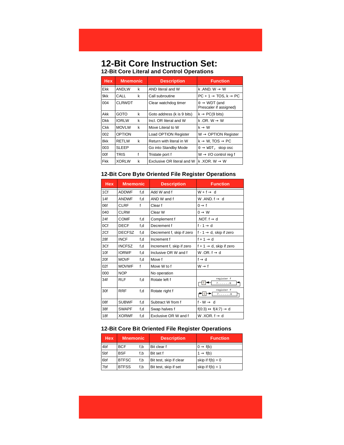## **12-Bit Core Instruction Set: 12-Bit Core Literal and Control Operations**

| <b>Hex</b> | <b>Mnemonic</b> |   | <b>Description</b>         | <b>Function</b>                                    |
|------------|-----------------|---|----------------------------|----------------------------------------------------|
| Ekk        | <b>ANDLW</b>    | k | AND literal and W          | k .AND. $W \rightarrow W$                          |
| 9kk        | CALL            | k | Call subroutine            | $PC + 1 \rightarrow TOS, k \rightarrow PC$         |
| 004        | <b>CLRWDT</b>   |   | Clear watchdog timer       | $0 \rightarrow WDT$ (and<br>Prescaler if assigned) |
| Akk        | GOTO            | k | Goto address (k is 9 bits) | $k \rightarrow PC(9 \text{ bits})$                 |
| <b>Dkk</b> | <b>IORLW</b>    | k | Incl. OR literal and W     | k .OR. $W \rightarrow W$                           |
| Ckk        | <b>MOVLW</b>    | k | Move Literal to W          | $k \rightarrow W$                                  |
| 002        | <b>OPTION</b>   |   | Load OPTION Register       | $W \rightarrow$ OPTION Register                    |
| 8kk        | <b>RETLW</b>    | k | Return with literal in W   | $k \rightarrow W$ , TOS $\rightarrow PC$           |
| 003        | <b>SLEEP</b>    |   | Go into Standby Mode       | $0 \rightarrow WDT$ , stop osc                     |
| 00f        | TRIS            |   | Tristate port f            | $W \rightarrow I/O$ control reg f                  |
| <b>Fkk</b> | <b>XORLW</b>    | k | Exclusive OR literal and W | k .XOR. W $\rightarrow$ W                          |

#### **12-Bit Core Byte Oriented File Register Operations**

| <b>Hex</b> | <b>Mnemonic</b> |              | <b>Description</b>        | <b>Function</b>                               |
|------------|-----------------|--------------|---------------------------|-----------------------------------------------|
| 1Cf        | <b>ADDWF</b>    | f,d          | Add W and f               | $W + f \rightarrow d$                         |
| 14f        | <b>ANDWF</b>    | f,d          | AND W and f               | W AND $f \rightarrow d$                       |
| 06f        | CLRF            | $\mathsf{f}$ | Clear f                   | $0 \rightarrow f$                             |
| 040        | <b>CLRW</b>     |              | Clear W                   | $0 \rightarrow W$                             |
| 24f        | <b>COMF</b>     | f,d          | Complement f              | .NOT. $f \rightarrow d$                       |
| 0Cf        | <b>DECF</b>     | f,d          | Decrement f               | $f - 1 \rightarrow d$                         |
| 2Cf        | <b>DECFSZ</b>   | f,d          | Decrement f, skip if zero | f - 1 $\rightarrow$ d, skip if zero           |
| 28f        | <b>INCF</b>     | f,d          | Increment f               | $f + 1 \rightarrow d$                         |
| 3Cf        | <b>INCFSZ</b>   | f,d          | Increment f, skip if zero | f + 1 $\rightarrow$ d, skip if zero           |
| 10f        | <b>IORWF</b>    | f,d          | Inclusive OR W and f      | W.OR. $f \rightarrow d$                       |
| 20f        | <b>MOVF</b>     | f,d          | Move f                    | $f \rightarrow d$                             |
| 02f        | <b>MOVWF</b>    | $\mathsf{f}$ | Move W to f               | $W \rightarrow f$                             |
| 000        | <b>NOP</b>      |              | No operation              |                                               |
| 34f        | <b>RLF</b>      | f,d          | Rotate left f             | register f<br>$\mathtt{C}$<br>7. 0            |
| 30f        | <b>RRF</b>      | f,d          | Rotate right f            | register f<br>$\mathrm{C}$<br>7. 0            |
| 08f        | <b>SUBWF</b>    | f,d          | Subtract W from f         | $f-W \rightarrow d$                           |
| 38f        | <b>SWAPF</b>    | f,d          | Swap halves f             | $f(0:3) \leftrightarrow f(4:7) \rightarrow d$ |
| 18f        | <b>XORWF</b>    | f,d          | Exclusive OR W and f      | W.XOR. $f \rightarrow d$                      |

#### **12-Bit Core Bit Oriented File Register Operations**

| <b>Hex</b>      | <b>Mnemonic</b> |     | <b>Description</b>      | <b>Function</b>      |
|-----------------|-----------------|-----|-------------------------|----------------------|
| 4 <sub>bf</sub> | <b>BCF</b>      | f.b | Bit clear f             | $0 \rightarrow f(b)$ |
| 5 <sub>bf</sub> | <b>BSF</b>      | f.b | Bit set f               | $1 \rightarrow f(b)$ |
| 6 <sub>bf</sub> | <b>BTFSC</b>    | f.b | Bit test, skip if clear | skip if $f(b) = 0$   |
| 7bf             | <b>BTFSS</b>    | f.b | Bit test, skip if set   | skip if $f(b) = 1$   |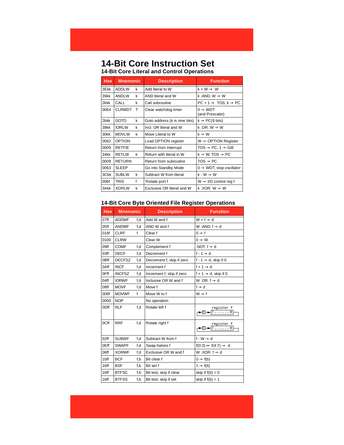## **14-Bit Core Instruction Set 14-Bit Core Literal and Control Operations**

| <b>Hex</b> | <b>Mnemonic</b> |   | <b>Description</b>            | <b>Function</b>                            |
|------------|-----------------|---|-------------------------------|--------------------------------------------|
| 3Ekk       | <b>ADDLW</b>    | k | Add literal to W              | $k + W \rightarrow W$                      |
| 39kk       | <b>ANDLW</b>    | k | AND literal and W             | k .AND, $W \rightarrow W$                  |
| 2kkk       | CALL            | k | Call subroutine               | $PC + 1 \rightarrow TOS, k \rightarrow PC$ |
| 0064       | <b>CLRWDT</b>   | Т | Clear watchdog timer          | $0 \rightarrow WDT$<br>(and Prescaler)     |
| 2kkk       | <b>GOTO</b>     | k | Goto address (k is nine bits) | $k \rightarrow PC(9 \text{ bits})$         |
| 38kk       | <b>IORLW</b>    | k | Incl. OR literal and W        | k .OR. W $\rightarrow$ W                   |
| 30kk       | <b>MOVLW</b>    | k | Move Literal to W             | $k \rightarrow W$                          |
| 0062       | <b>OPTION</b>   |   | Load OPTION register          | $W \rightarrow$ OPTION Register            |
| 0009       | <b>RETFIE</b>   |   | Return from Interrupt         | $TOS \rightarrow PC, 1 \rightarrow GIE$    |
| 34kk       | <b>RETLW</b>    | k | Return with literal in W      | $k \rightarrow W$ , TOS $\rightarrow PC$   |
| 0008       | <b>RETURN</b>   |   | Return from subroutine        | $\mathsf{TOS}\rightarrow\mathsf{PC}$       |
| 0063       | <b>SLEEP</b>    |   | Go into Standby Mode          | $0 \rightarrow WDT$ , stop oscillator      |
| 3Ckk       | <b>SUBLW</b>    | k | Subtract W from literal       | $k-W \rightarrow W$                        |
| 006f       | <b>TRIS</b>     | f | Tristate port f               | $W \rightarrow I/O$ control reg f          |
| 3Akk       | <b>XORLW</b>    | k | Exclusive OR literal and W    | k .XOR. W $\rightarrow$ W                  |

#### **14-Bit Core Byte Oriented File Register Operations**

| <b>Hex</b> | <b>Mnemonic</b> |     | <b>Description</b>        | <b>Function</b>                                              |
|------------|-----------------|-----|---------------------------|--------------------------------------------------------------|
| 07ff       | <b>ADDWF</b>    | f,d | Add W and f               | $W + f \rightarrow d$                                        |
| $05$ ff    | <b>ANDWF</b>    | f.d | AND W and f               | W .AND. $f \rightarrow d$                                    |
| 018f       | <b>CLRF</b>     | f   | Clear f                   | $0 \rightarrow f$                                            |
| 0100       | <b>CLRW</b>     |     | Clear W                   | $0 \rightarrow W$                                            |
| 09ff       | <b>COMF</b>     | f,d | Complement f              | .NOT. $f \rightarrow d$                                      |
| 03ff       | <b>DECF</b>     | f.d | Decrement f               | $f - 1 \rightarrow d$                                        |
| 0Bff       | <b>DECFSZ</b>   | f.d | Decrement f, skip if zero | f - 1 $\rightarrow$ d, skip if 0                             |
| 0Aff       | <b>INCF</b>     | f,d | Increment f               | $f + 1 \rightarrow d$                                        |
| 0Fff       | <b>INCFSZ</b>   | f,d | Increment f, skip if zero | $f + 1 \rightarrow d$ , skip if 0                            |
| 04ff       | <b>IORWF</b>    | f,d | Inclusive OR W and f      | W.OR. $f \rightarrow d$                                      |
| 08ff       | <b>MOVF</b>     | f,d | Move f                    | $f \rightarrow d$                                            |
| 008f       | <b>MOVWF</b>    | f   | Move W to f               | $W \rightarrow f$                                            |
| 0000       | <b>NOP</b>      |     | No operation              |                                                              |
| 0Dff       | <b>RLF</b>      | f.d | Rotate left f             | register f<br>$\overline{7\ldots\ldots0}$<br>$\rightarrow$ C |
| 0Cff       | <b>RRF</b>      | f,d | Rotate right f            | register f<br>$7 \ldots 0$                                   |
| 02ff       | <b>SUBWF</b>    | f,d | Subtract W from f         | $f-W \rightarrow d$                                          |
| 0Eff       | <b>SWAPF</b>    | f,d | Swap halves f             | $f(0:3) \leftrightarrow f(4:7) \rightarrow d$                |
| 06ff       | <b>XORWF</b>    | f.d | Exclusive OR W and f      | W.XOR. $f \rightarrow d$                                     |
| 1bff       | <b>BCF</b>      | f,b | Bit clear f               | $0 \rightarrow f(b)$                                         |
| 1bff       | <b>BSF</b>      | f,b | Bit set f                 | $1 \rightarrow f(b)$                                         |
| 1bff       | <b>BTFSC</b>    | f,b | Bit test, skip if clear   | skip if $f(b) = 0$                                           |
| 1bff       | <b>BTFSS</b>    | f,b | Bit test, skip if set     | skip if $f(b) = 1$                                           |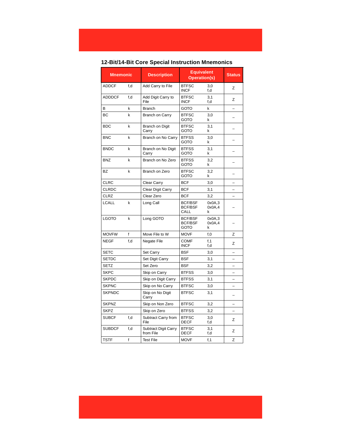## **12-Bit/14-Bit Core Special Instruction Mnemonics**

| <b>Mnemonic</b> |     | <b>Description</b>                       | <b>Equivalent</b><br><b>Operation(s)</b>        |                       | <b>Status</b> |
|-----------------|-----|------------------------------------------|-------------------------------------------------|-----------------------|---------------|
| <b>ADDCF</b>    | f,d | Add Carry to File                        | <b>BTFSC</b><br><b>INCF</b>                     | 3.0<br>f,d            | Z             |
| <b>ADDDCF</b>   | f,d | Add Digit Carry to<br>File               | <b>BTFSC</b><br><b>INCF</b>                     | 3,1<br>f,d            | Z             |
| B               | k   | <b>Branch</b>                            | <b>GOTO</b>                                     | k                     |               |
| <b>BC</b>       | k   | <b>Branch on Carry</b>                   | <b>BTFSC</b><br><b>GOTO</b>                     | 3,0<br>k              |               |
| <b>BDC</b>      | k   | Branch on Digit<br>Carry                 | <b>BTFSC</b><br>GOTO                            | 3,1<br>k              |               |
| <b>BNC</b>      | k   | Branch on No Carry                       | <b>BTFSS</b><br><b>GOTO</b>                     | 3,0<br>k              |               |
| <b>BNDC</b>     | k   | Branch on No Digit<br>Carry              | <b>BTFSS</b><br><b>GOTO</b>                     | 3,1<br>k              |               |
| <b>BNZ</b>      | k   | Branch on No Zero                        | <b>BTFSS</b><br><b>GOTO</b>                     | 3,2<br>k              |               |
| <b>BZ</b>       | k   | Branch on Zero                           | <b>BTFSC</b><br>GOTO                            | 3.2<br>k              |               |
| <b>CLRC</b>     |     | Clear Carry                              | <b>BCF</b>                                      | 3,0                   |               |
| CLRDC           |     | Clear Digit Carry                        | <b>BCF</b>                                      | 3,1                   |               |
| CLRZ            |     | Clear Zero                               | <b>BCF</b>                                      | 3.2                   |               |
| <b>LCALL</b>    | k   | Long Call                                | <b>BCF/BSF</b><br><b>BCF/BSF</b><br>CALL        | 0x0A.3<br>0x0A,4<br>k |               |
| LGOTO           | k   | Long GOTO                                | <b>BCF/BSF</b><br><b>BCF/BSF</b><br><b>GOTO</b> | 0x0A.3<br>0x0A,4<br>k |               |
| <b>MOVFW</b>    | f   | Move File to W                           | <b>MOVF</b>                                     | f, 0                  | Z             |
| <b>NEGF</b>     | f,d | Negate File                              | <b>COMF</b><br><b>INCF</b>                      | f <sub>1</sub><br>f.d | Z             |
| <b>SETC</b>     |     | Set Carry                                | <b>BSF</b>                                      | 3,0                   |               |
| <b>SETDC</b>    |     | Set Digit Carry                          | <b>BSF</b>                                      | 3,1                   |               |
| <b>SETZ</b>     |     | Set Zero                                 | <b>BSF</b>                                      | 3,2                   |               |
| <b>SKPC</b>     |     | Skip on Carry                            | <b>BTFSS</b>                                    | 3,0                   |               |
| <b>SKPDC</b>    |     | Skip on Digit Carry                      | <b>BTFSS</b>                                    | 3,1                   |               |
| <b>SKPNC</b>    |     | Skip on No Carry                         | <b>BTFSC</b>                                    | 3,0                   |               |
| <b>SKPNDC</b>   |     | Skip on No Digit<br>Carry                | <b>BTFSC</b>                                    | 3,1                   |               |
| <b>SKPNZ</b>    |     | Skip on Non Zero                         | <b>BTFSC</b>                                    | 3,2                   |               |
| <b>SKPZ</b>     |     | Skip on Zero                             | <b>BTFSS</b>                                    | 3,2                   |               |
| <b>SUBCF</b>    | f,d | Subtract Carry from<br>File              | <b>BTFSC</b><br><b>DECF</b>                     | 3.0<br>f,d            | z             |
| <b>SUBDCF</b>   | f,d | <b>Subtract Digit Carry</b><br>from File | <b>BTFSC</b><br><b>DECF</b>                     | 3,1<br>f,d            | Z             |
| <b>TSTF</b>     | f   | <b>Test File</b>                         | <b>MOVF</b>                                     | f, 1                  | Z             |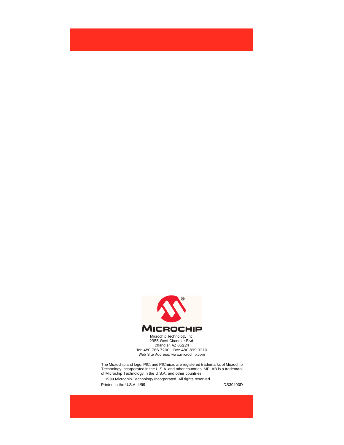

Microchip Technology Inc. 2355 West Chandler Blvd. Chandler, AZ 85224 Tel: 480.786.7200 Fax: 480.899.9210 Web Site Address: www.microchip.com

The Microchip and logo, PIC, and PICmicro are registered trademarks of Microchip Technology Incorporated in the U.S.A. and other countries. MPLAB is a trademark of Microchip Technology in the U.S.A. and other countries. 1999 Microchip Technology Incorporated. All rights reserved. Printed in the U.S.A. 4/99 DS30400D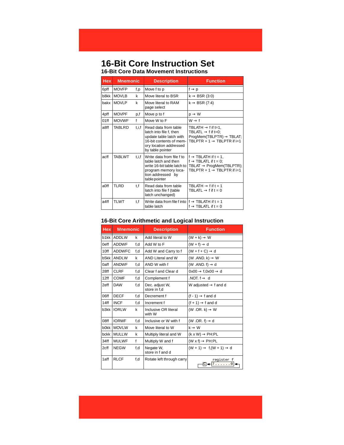#### **16-Bit Core Instruction Set 16-Bit Core Data Movement Instructions**

| <b>Hex</b> | <b>Mnemonic</b> |       | <b>Description</b>                                                                                                                                  | <b>Function</b>                                                                                                                                                                |
|------------|-----------------|-------|-----------------------------------------------------------------------------------------------------------------------------------------------------|--------------------------------------------------------------------------------------------------------------------------------------------------------------------------------|
| 6pff       | <b>MOVFP</b>    | f,p   | Move f to p                                                                                                                                         | $f \rightarrow p$                                                                                                                                                              |
| b8kk       | <b>MOVLB</b>    | k     | Move literal to BSR                                                                                                                                 | $k \rightarrow BSR(3:0)$                                                                                                                                                       |
| bakx       | <b>MOVLP</b>    | k     | Move literal to RAM<br>page select                                                                                                                  | $k \rightarrow BSR (7:4)$                                                                                                                                                      |
| 4pff       | <b>MOVPF</b>    | p,f   | Move p to f                                                                                                                                         | $p \rightarrow W$                                                                                                                                                              |
| 01ff       | <b>MOVWF</b>    | f     | Move W to F                                                                                                                                         | $W \rightarrow f$                                                                                                                                                              |
| a8ff       | TABLRD          | t.i.f | Read data from table<br>latch into file f, then<br>update table latch with<br>16-bit contents of mem-<br>ory location addressed<br>by table pointer | TBLATH $\rightarrow$ f if t=1.<br>TBLATL $\rightarrow$ f if t=0;<br>$Program(TBLPTR) \rightarrow TBLAT$ ;<br>TBLPTR $+ 1 \rightarrow$ TBLPTR if $i=1$                          |
| acff       | <b>TABLWT</b>   | t.i.f | Write data from file f to<br>table latch and then<br>write 16-bit table latch to<br>program memory loca-<br>tion addressed by<br>table pointer      | $f \rightarrow \textsf{TBLATH}$ if $t = 1$ ,<br>$f \rightarrow \text{TBLATL}$ if $t = 0$ ;<br>TBLAT $\rightarrow$ ProgMem(TBLPTR);<br>TBLPTR $+ 1 \rightarrow$ TBLPTR if $i=1$ |
| a0ff       | <b>TLRD</b>     | t,f   | Read data from table<br>latch into file f (table<br>latch unchanged)                                                                                | TBLATH $\rightarrow$ f if t = 1<br>TBLATL $\rightarrow$ f if t = 0                                                                                                             |
| a4ff       | <b>TLWT</b>     | t.f   | Write data from file f into $ f \rightarrow \text{TBLATH}$ if $t = 1$<br>table latch                                                                | $f \rightarrow \textsf{TBLATL}$ if $t = 0$                                                                                                                                     |

#### **16-Bit Core Arithmetic and Logical Instruction**

| <b>Hex</b> | <b>Mnemonic</b> |     | <b>Description</b>             | <b>Function</b>                              |
|------------|-----------------|-----|--------------------------------|----------------------------------------------|
|            | b1kk ADDLW      | k   | Add literal to W               | $(W + k) \rightarrow W$                      |
| 0eff       | <b>ADDWF</b>    | f.d | Add W to F                     | $(W + f) \rightarrow d$                      |
| 10ff       | <b>ADDWFC</b>   | f,d | Add W and Carry to f           | $(W + f + C) \rightarrow d$                  |
| b5kk       | <b>ANDLW</b>    | k   | AND Literal and W              | (W .AND. k) $\rightarrow$ W                  |
| 0aff       | <b>ANDWF</b>    | f,d | AND W with f                   | (W .AND. $f$ ) $\rightarrow$ d               |
| 28ff       | <b>CLRF</b>     | f.d | Clear f and Clear d            | $0x00 \rightarrow f, 0x00 \rightarrow d$     |
| 12ff       | <b>COMF</b>     | f,d | Complement f                   | NOT $f \rightarrow d$                        |
| 2eff       | <b>DAW</b>      | f.d | Dec. adjust W,<br>store in f,d | W adjusted $\rightarrow$ f and d             |
| 06ff       | <b>DECF</b>     | f,d | Decrement f                    | $(f - 1) \rightarrow f$ and d                |
| 14ff       | <b>INCF</b>     | f.d | Increment f                    | $(f + 1) \rightarrow f$ and d                |
| b3kk       | <b>IORLW</b>    | k   | Inclusive OR literal<br>with W | (W .OR. k) $\rightarrow$ W                   |
| 08ff       | <b>IORWF</b>    | f.d | Inclusive or W with f          | (W .OR. $f$ ) $\rightarrow$ d                |
| b0kk       | <b>MOVLW</b>    | k   | Move literal to W              | $k \rightarrow W$                            |
| bckk       | <b>MULLW</b>    | k   | Multiply literal and W         | $(k \times W) \rightarrow PH: PL$            |
| 34ff       | <b>MULWF</b>    | f   | Multiply W and f               | $(W \times f) \rightarrow PH:PL$             |
| 2cff       | <b>NEGW</b>     | f.d | Negate W,<br>store in f and d  | $(W + 1) \rightarrow f(W + 1) \rightarrow d$ |
| 1aff       | <b>RLCF</b>     | f.d | Rotate left through carry      | register f<br>$\mathsf{C}$<br>7 0            |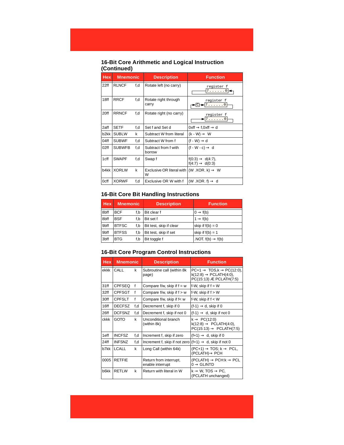#### **16-Bit Core Arithmetic and Logical Instruction (Continued)**

| <b>Hex</b> | <b>Mnemonic</b> |     | <b>Description</b>                                        | <b>Function</b>                                      |
|------------|-----------------|-----|-----------------------------------------------------------|------------------------------------------------------|
| 22ff       | <b>RLNCF</b>    | f,d | Rotate left (no carry)                                    | register f<br>$7. \ldots .0$                         |
| 18ff       | <b>RRCF</b>     | f,d | Rotate right through<br>carry                             | register f<br>7. 0                                   |
| 20ff       | <b>RRNCF</b>    | f,d | Rotate right (no carry)                                   | register f<br>7. 0                                   |
| 2aff       | <b>SETF</b>     | f,d | Set f and Set d                                           | $0$ xff $\rightarrow$ f,0xff $\rightarrow$ d         |
| b2kk       | <b>SUBLW</b>    | k   | Subtract W from literal                                   | $(k - W) \rightarrow W$                              |
| 04ff       | <b>SUBWF</b>    | f,d | Subtract W from f                                         | $(f - W) \rightarrow d$                              |
| 02ff       | <b>SUBWFB</b>   | f,d | Subtract from f with<br>borrow                            | $(f - W - c) \rightarrow d$                          |
| 1cff       | <b>SWAPF</b>    | f,d | Swap f                                                    | $f(0:3) \to d(4:7)$ ,<br>$f(4:7) \rightarrow d(0:3)$ |
| b4kk       | <b>XORLW</b>    | k   | Exclusive OR literal with $(W.XOR. k) \rightarrow W$<br>W |                                                      |
| 0cff       | <b>XORWF</b>    | f,d | Exclusive OR W with f                                     | (W.XOR. f) $\rightarrow$ d                           |

#### **16-Bit Core Bit Handling Instructions**

| <b>Hex</b> | <b>Mnemonic</b> |     | <b>Description</b>      | <b>Function</b>               |
|------------|-----------------|-----|-------------------------|-------------------------------|
| 8bff       | <b>BCF</b>      | f.b | Bit clear f             | $0 \rightarrow f(b)$          |
| 8bff       | <b>BSF</b>      | f.b | Bit set f               | $1 \rightarrow f(b)$          |
| 9bff       | <b>BTFSC</b>    | f.b | Bit test, skip if clear | skip if $f(b) = 0$            |
| 9bff       | <b>BTFSS</b>    | f.b | Bit test, skip if set   | skip if $f(b) = 1$            |
| 3bff       | <b>BTG</b>      | f,b | Bit toggle f            | .NOT. $f(b) \rightarrow f(b)$ |

#### **16-Bit Core Program Control Instructions**

| <b>Hex</b> | <b>Mnemonic</b> |     | <b>Description</b>                         | <b>Function</b>                                                                                                  |
|------------|-----------------|-----|--------------------------------------------|------------------------------------------------------------------------------------------------------------------|
| ekkk       | CALL            | k   | Subroutine call (within 8k)<br>page)       | $PC+1 \rightarrow TOS,k \rightarrow PC(12:0),$<br>$k(12:8) \rightarrow PCLATH(4:0)$ ,<br>PC(15:13) Æ PCLATH(7:5) |
| 31ff       | <b>CPFSEQ</b>   | f   | Compare f/w, skip if $f = w$               | f-W, skip if $f = W$                                                                                             |
| 32ff       | <b>CPFSGT</b>   | f   | Compare $f/w$ , skip if $f > w$            | f-W, skip if $f > W$                                                                                             |
| 30ff       | <b>CPFSLT</b>   | f   | Compare f/w, skip if f< w                  | f-W, skip if $f < W$                                                                                             |
| 16ff       | <b>DECFSZ</b>   | f,d | Decrement f, skip if 0                     | $(f-1) \rightarrow d$ , skip if 0                                                                                |
| 26ff       | <b>DCFSNZ</b>   | f,d | Decrement f, skip if not 0                 | $(f-1) \rightarrow d$ , skip if not 0                                                                            |
| ckkk       | <b>GOTO</b>     | k   | Unconditional branch<br>(within 8k)        | $k \rightarrow PC(12:0)$<br>$k(12:8) \rightarrow \text{PCLATH}(4:0)$ ,<br>$PC(15:13) \rightarrow PCLATH(7:5)$    |
| 1eff       | <b>INCFSZ</b>   | f,d | Increment f, skip if zero                  | $(f+1) \rightarrow d$ , skip if 0                                                                                |
| 24ff       | <b>INFSNZ</b>   | f,d | Increment f, skip if not zero              | $(f+1) \rightarrow d$ , skip if not 0                                                                            |
| b7kk       | <b>LCALL</b>    | k   | Long Call (within 64k)                     | $(PC+1) \rightarrow TOS$ ; $k \rightarrow PCL$ ,<br>$(PCLATH) \rightarrow PCH$                                   |
| 0005       | <b>RETFIE</b>   |     | Return from interrupt,<br>enable interrupt | $(PCLATH) \rightarrow PCH: k \rightarrow PCL$<br>$0 \rightarrow$ GLINTD                                          |
| b6kk       | <b>RETLW</b>    | k   | Return with literal in W                   | k $\rightarrow$ W, TOS $\rightarrow$ PC,<br>(PCLATH unchanged)                                                   |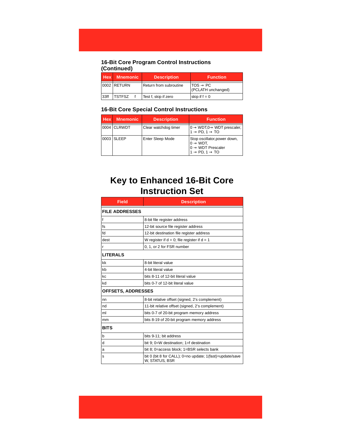#### **16-Bit Core Program Control Instructions (Continued)**

|      | <b>Hex</b> Mnemonic | <b>Description</b>     | <b>Function</b>                            |
|------|---------------------|------------------------|--------------------------------------------|
|      | 0002 RETURN         | Return from subroutine | $TOS \rightarrow PC$<br>(PCLATH unchanged) |
| 33ff | <b>TSTFSZ</b>       | Test f, skip if zero   | skip if $f = 0$                            |

#### **16-Bit Core Special Control Instructions**

| Hex | <b>Mnemonic</b> | <b>Description</b>   | <b>Function</b>                                                                                                                  |
|-----|-----------------|----------------------|----------------------------------------------------------------------------------------------------------------------------------|
|     | 0004 CLRWDT     | Clear watchdog timer | $0 \rightarrow WDT, 0 \rightarrow WDT$ prescaler,<br>$1 \rightarrow$ PD, $1 \rightarrow$ TO                                      |
|     | 0003 SLEEP      | Enter Sleep Mode     | Stop oscillator, power down,<br>$0 \rightarrow WDT$ ,<br>$0 \rightarrow WDT$ Prescaler<br>$1 \rightarrow$ PD, $1 \rightarrow$ TO |

# **Key to Enhanced 16-Bit Core Instruction Set**

| <b>Field</b>              | <b>Description</b>                                                         |  |  |
|---------------------------|----------------------------------------------------------------------------|--|--|
| <b>FILE ADDRESSES</b>     |                                                                            |  |  |
| f                         | 8-bit file register address                                                |  |  |
| fs                        | 12-bit source file register address                                        |  |  |
| fd                        | 12-bit destination file register address                                   |  |  |
| dest                      | W register if $d = 0$ ; file register if $d = 1$                           |  |  |
| r                         | 0, 1, or 2 for FSR number                                                  |  |  |
| <b>LITERALS</b>           |                                                                            |  |  |
| kk                        | 8-bit literal value                                                        |  |  |
| kb                        | 4-bit literal value                                                        |  |  |
| kc                        | bits 8-11 of 12-bit literal value                                          |  |  |
| kd                        | bits 0-7 of 12-bit literal value                                           |  |  |
| <b>OFFSETS, ADDRESSES</b> |                                                                            |  |  |
| nn                        | 8-bit relative offset (signed, 2's complement)                             |  |  |
| nd                        | 11-bit relative offset (signed, 2's complement)                            |  |  |
| ml                        | bits 0-7 of 20-bit program memory address                                  |  |  |
| mm                        | bits 8-19 of 20-bit program memory address                                 |  |  |
| <b>BITS</b>               |                                                                            |  |  |
| $\mathbf b$               | bits 9-11; bit address                                                     |  |  |
| d                         | bit 9; 0=W destination; 1=f destination                                    |  |  |
| a                         | bit 8; 0=access block; 1=BSR selects bank                                  |  |  |
| s                         | bit 0 (bit 8 for CALL); 0=no update; 1(fast)=update/save<br>W. STATUS, BSR |  |  |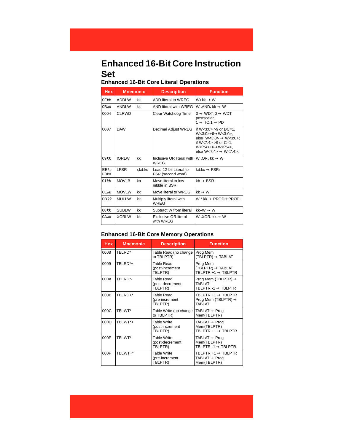# **Enhanced 16-Bit Core Instruction Set**

## **Enhanced 16-Bit Core Literal Operations**

| <b>Hex</b>               | <b>Mnemonic</b> |         | <b>Description</b>                          | <b>Function</b>                                                                                                                                                                                                              |
|--------------------------|-----------------|---------|---------------------------------------------|------------------------------------------------------------------------------------------------------------------------------------------------------------------------------------------------------------------------------|
| $0$ F $kk$               | <b>ADDLW</b>    | kk      | ADD literal to WREG                         | $W+kk \rightarrow W$                                                                                                                                                                                                         |
| $0B$ kk                  | <b>ANDLW</b>    | kk      | AND literal with WREG                       | W .AND. $kk \rightarrow W$                                                                                                                                                                                                   |
| 0004                     | <b>CLRWD</b>    |         | Clear Watchdog Timer                        | $0 \rightarrow WDT$ , $0 \rightarrow WDT$<br>postscaler,<br>$1 \rightarrow \text{TO}, 1 \rightarrow \text{PD}$                                                                                                               |
| 0007                     | <b>DAW</b>      |         | Decimal Adjust WREG                         | if $W < 3:0 > 9$ or $DC = 1$ ,<br>$W < 3:0 > +6 \rightarrow W < 3:0 >$ .<br>else $W<3:0> \rightarrow W<3:0>$ ;<br>if $W < 7:4 > 9$ or $C = 1$ ,<br>$W < 7:4 > +6 \rightarrow W < 7:4 >$<br>else W<7:4> $\rightarrow$ W<7:4>: |
| $09$ kk                  | <b>IORLW</b>    | kk      | Inclusive OR literal with<br>WREG           | W .OR. $kk \rightarrow W$                                                                                                                                                                                                    |
| EEkc<br>F <sub>0kd</sub> | <b>IFSR</b>     | r,kd:kc | Load 12-bit Literal to<br>FSR (second word) | $kd$ ·kc $\rightarrow$ FSRr                                                                                                                                                                                                  |
| 01kb                     | <b>MOVLB</b>    | kb      | Move literal to low<br>nibble in BSR        | $kh \rightarrow BSR$                                                                                                                                                                                                         |
| $0E$ kk                  | <b>MOVLW</b>    | kk      | Move literal to WREG                        | $kk \rightarrow W$                                                                                                                                                                                                           |
| $OD$ <i>kk</i>           | <b>MULLW</b>    | kk      | Multiply literal with<br>WREG               | W * kk $\rightarrow$ PRODH: PRODL                                                                                                                                                                                            |
| $08$ kk                  | <b>SUBLW</b>    | kk      | Subtract W from literal                     | $kk-W \rightarrow W$                                                                                                                                                                                                         |
| $0$ A $kk$               | <b>XORLW</b>    | kk      | <b>Exclusive OR literal</b><br>with WREG    | W.XOR. $kk \rightarrow W$                                                                                                                                                                                                    |

#### **Enhanced 16-Bit Core Memory Operations**

| <b>Hex</b> | <b>Mnemonic</b> | <b>Description</b>                        | <b>Function</b>                                                                     |
|------------|-----------------|-------------------------------------------|-------------------------------------------------------------------------------------|
| 0008       | TRI RD*         | Table Read (no change<br>to TBLPTR)       | Prog Mem<br>$(TBLPTR) \rightarrow TABLAT$                                           |
| 0009       | TRI RD*+        | Table Read<br>(post-increment<br>TBLPTR)  | Prog Mem<br>$(TBLPTR) \rightarrow TABLAT$<br>TBLPTR +1 $\rightarrow$ TBLPTR         |
| 000A       | TBLRD*-         | Table Read<br>(post-decrement<br>TBLPTR)  | Prog Mem (TBLPTR) $\rightarrow$<br><b>TARI AT</b><br>TBLPTR $-1 \rightarrow$ TBLPTR |
| 000B       | TBLRD+*         | Table Read<br>(pre-increment<br>TBLPTR)   | TBLPTR $+1 \rightarrow$ TBLPTR<br>Prog Mem (TBLPTR) $\rightarrow$<br><b>TARI AT</b> |
| 000C       | TBLWT*          | Table Write (no change<br>to TBLPTR)      | TABLAT $\rightarrow$ Prog<br>Mem(TBLPTR)                                            |
| 000D       | TBLWT*+         | Table Write<br>(post-increment<br>TBLPTR) | $TABLAT \rightarrow Proq$<br>Mem(TBLPTR)<br>TRI PTR $+1 \rightarrow$ TRI PTR        |
| 000E       | TBLWT*-         | Table Write<br>(post-decrement<br>TBLPTR) | $TABLAT \rightarrow Proq$<br>Mem(TBLPTR)<br>TBLPTR -1 $\rightarrow$ TBLPTR          |
| 000F       | TBLWT+*         | Table Write<br>(pre-increment<br>TBLPTR)  | TBLPTR $+1 \rightarrow$ TBLPTR<br>$TABLAT \rightarrow Proq$<br>Mem(TBLPTR)          |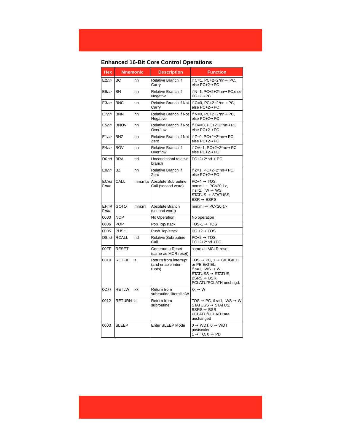## **Enhanced 16-Bit Core Control Operations**

| <b>Hex</b>         | <b>Mnemonic</b> |         | <b>Description</b>                                    | <b>Function</b>                                                                                                                                                                     |
|--------------------|-----------------|---------|-------------------------------------------------------|-------------------------------------------------------------------------------------------------------------------------------------------------------------------------------------|
| E2nn               | ВC              | nn      | Relative Branch if<br>Carry                           | if C=1, PC+2+2*nn $\rightarrow$ PC,<br>else PC+2→PC                                                                                                                                 |
| E6nn               | <b>BN</b>       | nn      | Relative Branch if<br>Negative                        | if N=1. PC+2+2*nn→PC.else<br>$PC+2\rightarrow PC$                                                                                                                                   |
| E <sub>3</sub> nn  | <b>BNC</b>      | nn      | Relative Branch if Not<br>Carry                       | if C=0, $PC+2+2*nn \rightarrow PC$ ,<br>else PC+2→PC                                                                                                                                |
| E7nn               | <b>BNN</b>      | nn      | Relative Branch if Not<br>Negative                    | if N=0, $PC+2+2*nn \rightarrow PC$ ,<br>else PC+2→PC                                                                                                                                |
| E <sub>5</sub> nn  | <b>BNOV</b>     | nn      | Relative Branch if Not<br>Overflow                    | if OV=0, PC+2+2*nn→PC,<br>else PC+2→PC                                                                                                                                              |
| E1nn               | <b>BNZ</b>      | nn      | Relative Branch if Not<br>Zero                        | if $Z=0$ , $PC+2+2*nn \rightarrow PC$ ,<br>else PC+2→PC                                                                                                                             |
| E4nn               | <b>BOV</b>      | nn      | Relative Branch if<br>Overflow                        | if OV=1, PC+2+2*nn→PC,<br>else PC+2→PC                                                                                                                                              |
| D <sub>0</sub> nd  | <b>BRA</b>      | nd      | Unconditional relative<br>branch                      | $PC+2+2*nd \rightarrow PC$                                                                                                                                                          |
| E <sub>0</sub> nn  | <b>BZ</b>       | nn      | Relative Branch if<br>Zero                            | if $Z=1$ , $PC+2+2*nn \rightarrow PC$ ,<br>else PC+2→PC                                                                                                                             |
| ECml<br><b>Fmm</b> | CALL            | mm:ml,s | Absolute Subroutine<br>Call (second word)             | $PC+4 \rightarrow TOS$ ,<br>$mm:ml \rightarrow PC<20:1$ ,<br>if s=1, $W \rightarrow WS$ ,<br>$STATUS \rightarrow STATUSS$<br>$BSR \rightarrow BSSRS$                                |
| EFml<br>Fmm        | <b>GOTO</b>     | mm:ml   | Absolute Branch<br>(second word)                      | $mm:ml \rightarrow PC<20:1>$                                                                                                                                                        |
| 0000               | <b>NOP</b>      |         | No Operation                                          | No operation                                                                                                                                                                        |
| 0006               | <b>POP</b>      |         | Pop Top/stack                                         | $TOS-1 \rightarrow TOS$                                                                                                                                                             |
| 0005               | <b>PUSH</b>     |         | Push Top/stack                                        | $PC +2 \rightarrow TOS$                                                                                                                                                             |
| D8nd               | <b>RCALL</b>    | nd      | <b>Relative Subroutine</b><br>Call                    | $PC+2 \rightarrow TOS$<br>PC+2+2*nd→PC                                                                                                                                              |
| 00FF               | <b>RESET</b>    |         | Generate a Reset<br>(same as MCR reset)               | same as MCLR reset                                                                                                                                                                  |
| 0010               | <b>RETFIE</b>   | s       | Return from interrupt<br>(and enable inter-<br>rupts) | $TOS \rightarrow PC, 1 \rightarrow GIE/GIEH$<br>or PEIE/GIEL,<br>if s=1, $WS \rightarrow W$ ,<br>$STATUSS \rightarrow STATUS$<br>$BSRS \rightarrow BSR$ ,<br>PCLATU/PCLATH unchngd. |
| $0C$ kk            | RETLW           | kk      | Return from<br>subroutine, literal in W               | $kk \rightarrow W$                                                                                                                                                                  |
| 0012               | <b>RETURN S</b> |         | Return from<br>subroutine                             | TOS $\rightarrow$ PC, if s=1, WS $\rightarrow$ W,<br>$STATUSS \rightarrow STATUS.$<br>$BSRS \rightarrow BSR$ ,<br>PCLATU/PCLATH are<br>unchanged                                    |
| 0003               | <b>SLEEP</b>    |         | Enter SLEEP Mode                                      | $0 \rightarrow WDT$ , $0 \rightarrow WDT$<br>postscaler,<br>$1 \rightarrow$ TO, 0 $\rightarrow$ PD                                                                                  |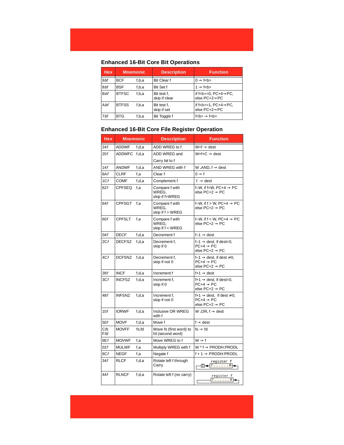#### **Enhanced 16-Bit Core Bit Operations**

| Hex.       | <b>Mnemonic</b> |       | <b>Description</b>           | <b>Function</b>                                                        |
|------------|-----------------|-------|------------------------------|------------------------------------------------------------------------|
| 9bf        | <b>BCF</b>      | f,b,a | <b>Bit Clear f</b>           | $0 \rightarrow f$ < b >                                                |
| 8bf        | <b>BSF</b>      | f,b,a | Bit Set f                    | $1 \rightarrow f$ < b >                                                |
| <b>Bbf</b> | <b>BTFSC</b>    | f,b,a | Bit test f,<br>skip if clear | if $f$<br>b>=0, PC+4 $\rightarrow$ PC,<br>else $PC + 2 \rightarrow PC$ |
| Abf        | <b>BTFSS</b>    | f,b,a | Bit test f,<br>skip if set   | if $f$<br>b>=1, PC+4 $\rightarrow$ PC,<br>else $PC + 2 \rightarrow PC$ |
| 7bf        | <b>BTG</b>      | f,b,a | Bit Toggle f                 | $f$<br>$\leftrightarrow$ $f$<br>$\lt$ b>                               |

### **Enhanced 16-Bit Core File Register Operation**

| <b>Hex</b> | <b>Mnemonic</b> |       | <b>Description</b>                          | <b>Function</b>                                                                                  |
|------------|-----------------|-------|---------------------------------------------|--------------------------------------------------------------------------------------------------|
| 24f        | <b>ADDWF</b>    | f.d.a | ADD WREG to f                               | $W + f \rightarrow$ dest                                                                         |
| 20f        | <b>ADDWFC</b>   | f.d.a | ADD WREG and                                | $W + f + C \rightarrow dest$                                                                     |
|            |                 |       | Carry bit to f                              |                                                                                                  |
| 14f        | <b>ANDWF</b>    | f.d.a | AND WREG with f                             | W.AND. $f \rightarrow$ dest                                                                      |
| 6Af        | <b>CLRF</b>     | f.a   | Clear f                                     | $0 \rightarrow f$                                                                                |
| 1Cf        | <b>COMF</b>     | f.d.a | Complement f                                | $f \rightarrow$ dest                                                                             |
| 62f        | <b>CPFSEQ</b>   | f,a   | Compare f with<br>WREG,<br>skip if f=WREG   | f-W, if f=W, $PC+4 \rightarrow PC$<br>else PC+2 $\rightarrow$ PC                                 |
| 64f        | <b>CPFSGT</b>   | f,a   | Compare f with<br>WREG.<br>skip if f > WREG | f-W, if $f > W$ , PC+4 $\rightarrow$ PC<br>else $PC+2 \rightarrow PC$                            |
| 60f        | <b>CPFSLT</b>   | f.a   | Compare f with<br>WREG,<br>skip if f < WREG | f-W, if $f < W$ , PC+4 $\rightarrow$ PC<br>else $PC+2 \rightarrow PC$                            |
| 04f        | <b>DECF</b>     | f,d,a | Decrement f                                 | $f-1 \rightarrow dest$                                                                           |
| 2Cf        | <b>DECFSZ</b>   | f.d.a | Decrement f,<br>skip if 0                   | $f-1 \rightarrow$ dest, if dest=0,<br>$PC+4 \rightarrow PC$<br>else PC+2 $\rightarrow$ PC        |
| 4Cf        | <b>DCFSNZ</b>   | f.d.a | Decrement f,<br>skip if not 0               | f-1 $\rightarrow$ dest. if dest $\neq$ 0.<br>$PC+4 \rightarrow PC$<br>else $PC+2 \rightarrow PC$ |
| 28f        | <b>INCF</b>     | f,d,a | Increment f                                 | $f+1 \rightarrow$ dest                                                                           |
| 3Cf        | <b>INCFSZ</b>   | f.d.a | Increment f,<br>skip if 0                   | $f+1 \rightarrow$ dest, if dest=0,<br>$PC+4 \rightarrow PC$<br>else PC+2 $\rightarrow$ PC        |
| 48f        | <b>INFSNZ</b>   | f.d.a | Increment f,<br>skip if not 0               | f+1 $\rightarrow$ dest, if dest $\neq$ 0,<br>$PC+4 \rightarrow PC$<br>else PC+2 $\rightarrow$ PC |
| 10f        | <b>IORWF</b>    | f.d.a | Inclusive OR WREG<br>with f                 | W.OR. $f \rightarrow$ dest                                                                       |
| 50f        | <b>MOVF</b>     | f,d,a | Move f                                      | $f \rightarrow$ dest                                                                             |
| Cfs<br>Ffd | <b>MOVFF</b>    | fs,fd | Move fs (first word) to<br>fd (second word) | $fs \rightarrow fd$                                                                              |
| 6Ef        | <b>MOVWF</b>    | f.a   | Move WREG to f                              | $W \rightarrow f$                                                                                |
| 02f        | <b>MULWF</b>    | f,a   | Multiply WREG with f                        | $W^*$ f $\rightarrow$ PRODH: PRODL                                                               |
| 6Cf        | <b>NEGF</b>     | f.a   | Negate f                                    | $f + 1 \rightarrow PRODH:PRODL$                                                                  |
| 34f        | RLCF            | f,d,a | Rotate left f through<br>Carry              | register f<br>-⊡ <del>&lt;+ 1</del> 7 0 <del>  &lt;</del>                                        |
| 44f        | <b>RLNCF</b>    | f,d,a | Rotate left f (no carry)                    | register f<br>7. 0                                                                               |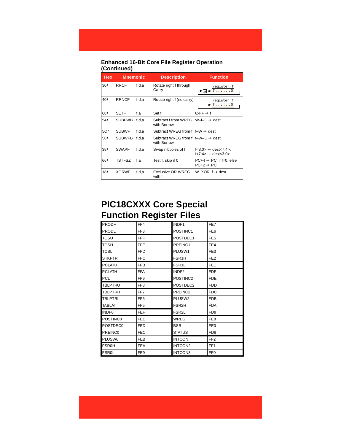#### **Enhanced 16-Bit Core File Register Operation (Continued)**

| <b>Hex</b> | <b>Mnemonic</b> |       | <b>Description</b>                                            | <b>Function</b>                                                          |
|------------|-----------------|-------|---------------------------------------------------------------|--------------------------------------------------------------------------|
| 30f        | <b>RRCF</b>     | f,d,a | Rotate right f through<br>Carry                               | register f<br>7. 0                                                       |
| 40f        | <b>RRNCF</b>    | f,d,a | Rotate right f (no carry)                                     | register f<br>7. 0                                                       |
| 68f        | <b>SETF</b>     | f.a   | Set f                                                         | $0xFF \rightarrow f$                                                     |
| 54f        | <b>SUBFWB</b>   | f,d,a | Subtract f from WREG<br>with Borrow                           | $W-F-C \rightarrow dest$                                                 |
| 5Cf        | <b>SUBWF</b>    | f,d,a | Subtract WREG from f                                          | $f-W \rightarrow dest$                                                   |
| 58f        | <b>SUBWFB</b>   | f,d,a | Subtract WREG from f $If-W-C \rightarrow dest$<br>with Borrow |                                                                          |
| 38f        | <b>SWAPF</b>    | f,d,a | Swap nibbbles of f                                            | $f<3:0> \rightarrow$ dest $<7:4>$ ,<br>$f<7:4> \rightarrow$ dest $<3:0>$ |
| 66f        | <b>TSTFSZ</b>   | f.a   | Test f, skip if 0                                             | $PC+4 \rightarrow PC$ , if f=0, else<br>$PC+2 \rightarrow PC$            |
| 18f        | <b>XORWF</b>    | f,d,a | <b>Exclusive OR WREG</b><br>with f                            | W.XOR. $f \rightarrow$ dest                                              |

## **PIC18CXXX Core Special Function Register Files**

| <b>PRODH</b>      | FF4             | INDF1              | FE7             |
|-------------------|-----------------|--------------------|-----------------|
| <b>PRODL</b>      | FF <sub>3</sub> | POSTINC1           | FE <sub>6</sub> |
| <b>TOSU</b>       | <b>FFF</b>      | POSTDEC1           | FE <sub>5</sub> |
| TOSH              | <b>FFE</b>      | PREINC1            | FE4             |
| <b>TOSL</b>       | <b>FFD</b>      | PLUSW1             | FE3             |
| <b>STKPTR</b>     | <b>FFC</b>      | FSR <sub>1</sub> H | FE <sub>2</sub> |
| <b>PCLATU</b>     | <b>FFB</b>      | FSR <sub>1</sub> L | FE <sub>1</sub> |
| <b>PCLATH</b>     | <b>FFA</b>      | INDF <sub>2</sub>  | <b>FDF</b>      |
| <b>PCL</b>        | FF <sub>9</sub> | POSTINC2           | <b>FDE</b>      |
| <b>TBLPTRU</b>    | FF <sub>8</sub> | POSTDEC2           | <b>FDD</b>      |
| <b>TBLPTRH</b>    | FF7             | PREINC2            | <b>FDC</b>      |
| <b>TBLPTRL</b>    | FF <sub>6</sub> | PLUSW2             | <b>FDB</b>      |
| <b>TABLAT</b>     | FF <sub>5</sub> | FSR <sub>2</sub> H | <b>FDA</b>      |
| INDF <sub>0</sub> | <b>FEF</b>      | FSR <sub>2</sub> L | FD <sub>9</sub> |
| POSTINC0          | <b>FEE</b>      | <b>WREG</b>        | FE <sub>8</sub> |
| POSTDEC0          | <b>FED</b>      | <b>BSR</b>         | FE <sub>0</sub> |
| PREINC0           | <b>FEC</b>      | <b>STATUS</b>      | FD <sub>8</sub> |
| PLUSW0            | <b>FEB</b>      | <b>INTCON</b>      | FF <sub>2</sub> |
| <b>FSR0H</b>      | <b>FEA</b>      | INTCON2            | FF <sub>1</sub> |
| <b>FSR0L</b>      | FE9             | INTCON3            | FF <sub>0</sub> |